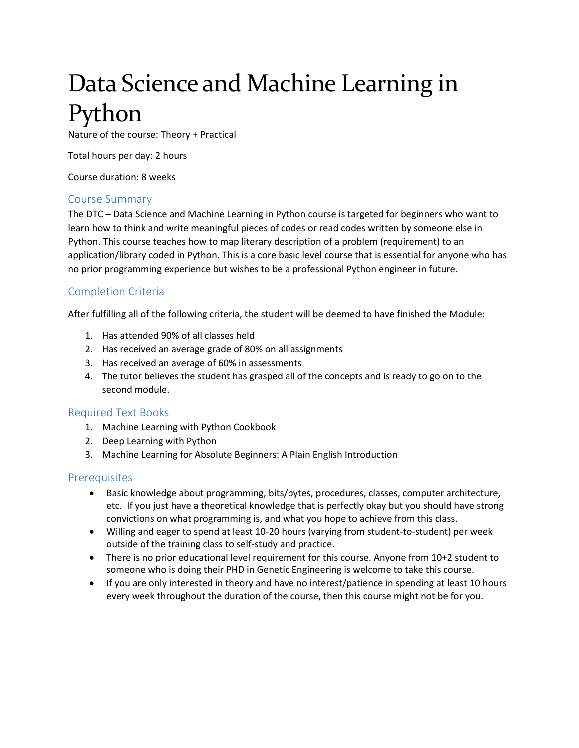# Data Science and Machine Learning in Python

Nature of the course: Theory + Practical

Total hours per day: 2 hours

Course duration: 8 weeks

#### Course Summary

The DTC – Data Science and Machine Learning in Python course is targeted for beginners who want to learn how to think and write meaningful pieces of codes or read codes written by someone else in Python. This course teaches how to map literary description of a problem (requirement) to an application/library coded in Python. This is a core basic level course that is essential for anyone who has no prior programming experience but wishes to be a professional Python engineer in future.

## Completion Criteria

After fulfilling all of the following criteria, the student will be deemed to have finished the Module:

- 1. Has attended 90% of all classes held
- 2. Has received an average grade of 80% on all assignments
- 3. Has received an average of 60% in assessments
- 4. The tutor believes the student has grasped all of the concepts and is ready to go on to the second module.

#### Required Text Books

- 1. Machine Learning with Python Cookbook
- 2. Deep Learning with Python
- 3. Machine Learning for Absolute Beginners: A Plain English Introduction

#### **Prerequisites**

- Basic knowledge about programming, bits/bytes, procedures, classes, computer architecture, etc. If you just have a theoretical knowledge that is perfectly okay but you should have strong convictions on what programming is, and what you hope to achieve from this class.
- Willing and eager to spend at least 10-20 hours (varying from student-to-student) per week outside of the training class to self-study and practice.
- There is no prior educational level requirement for this course. Anyone from 10+2 student to someone who is doing their PHD in Genetic Engineering is welcome to take this course.
- If you are only interested in theory and have no interest/patience in spending at least 10 hours every week throughout the duration of the course, then this course might not be for you.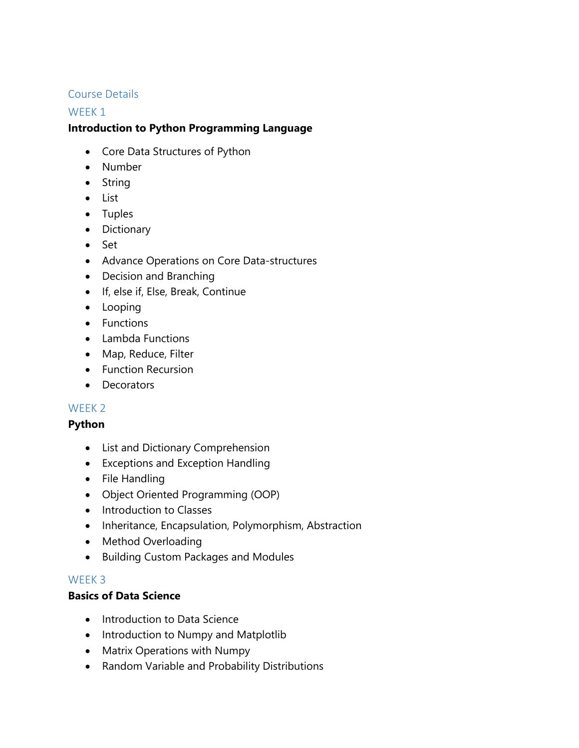# Course Details

## WEEK<sub>1</sub>

# **Introduction to Python Programming Language**

- Core Data Structures of Python
- Number
- String
- List
- Tuples
- Dictionary
- Set
- Advance Operations on Core Data-structures
- Decision and Branching
- If, else if, Else, Break, Continue
- Looping
- Functions
- Lambda Functions
- Map, Reduce, Filter
- **•** Function Recursion
- Decorators

## WEEK 2

## **Python**

- List and Dictionary Comprehension
- Exceptions and Exception Handling
- File Handling
- Object Oriented Programming (OOP)
- Introduction to Classes
- Inheritance, Encapsulation, Polymorphism, Abstraction
- Method Overloading
- **•** Building Custom Packages and Modules

## WEEK 3

## **Basics of Data Science**

- Introduction to Data Science
- Introduction to Numpy and Matplotlib
- Matrix Operations with Numpy
- Random Variable and Probability Distributions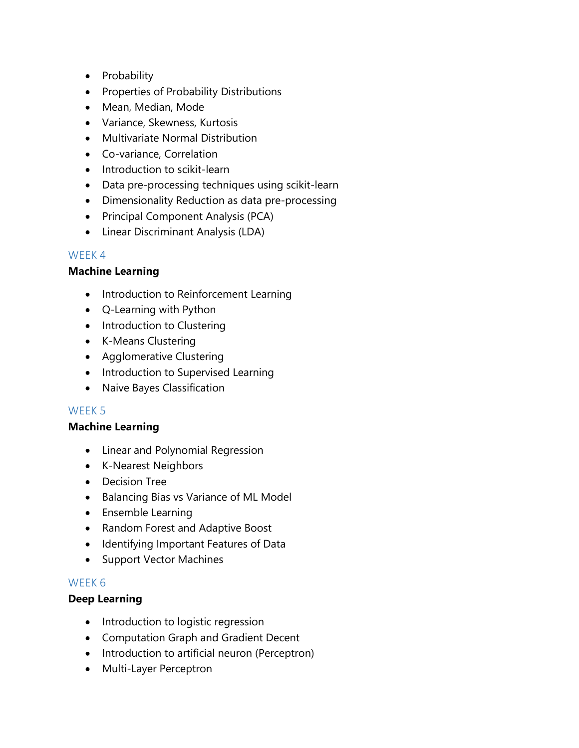- Probability
- Properties of Probability Distributions
- Mean, Median, Mode
- Variance, Skewness, Kurtosis
- Multivariate Normal Distribution
- Co-variance, Correlation
- Introduction to scikit-learn
- Data pre-processing techniques using scikit-learn
- Dimensionality Reduction as data pre-processing
- Principal Component Analysis (PCA)
- Linear Discriminant Analysis (LDA)

# WEEK 4

## **Machine Learning**

- Introduction to Reinforcement Learning
- Q-Learning with Python
- Introduction to Clustering
- K-Means Clustering
- Agglomerative Clustering
- Introduction to Supervised Learning
- Naive Bayes Classification

## WEEK 5

## **Machine Learning**

- Linear and Polynomial Regression
- K-Nearest Neighbors
- Decision Tree
- Balancing Bias vs Variance of ML Model
- Ensemble Learning
- Random Forest and Adaptive Boost
- Identifying Important Features of Data
- Support Vector Machines

## WEEK 6

## **Deep Learning**

- Introduction to logistic regression
- Computation Graph and Gradient Decent
- Introduction to artificial neuron (Perceptron)
- Multi-Layer Perceptron